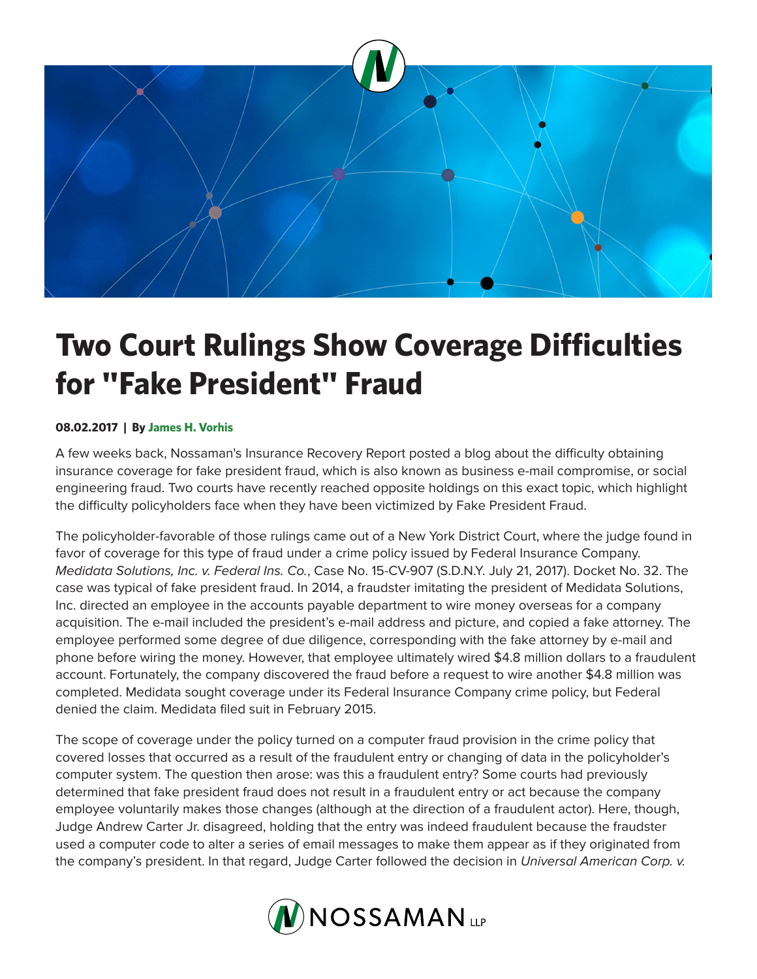

## **Two Court Rulings Show Coverage Difficulties for "Fake President" Fraud**

## **08.02.2017 | By James H. Vorhis**

A few weeks back, Nossaman's Insurance Recovery Report posted a blog about the difficulty obtaining insurance coverage for fake president fraud, which is also known as business e-mail compromise, or social engineering fraud. Two courts have recently reached opposite holdings on this exact topic, which highlight the difficulty policyholders face when they have been victimized by Fake President Fraud.

The policyholder-favorable of those rulings came out of a New York District Court, where the judge found in favor of coverage for this type of fraud under a crime policy issued by Federal Insurance Company. *Medidata Solutions, Inc. v. Federal Ins. Co.*, Case No. 15-CV-907 (S.D.N.Y. July 21, 2017). Docket No. 32. The case was typical of fake president fraud. In 2014, a fraudster imitating the president of Medidata Solutions, Inc. directed an employee in the accounts payable department to wire money overseas for a company acquisition. The e-mail included the president's e-mail address and picture, and copied a fake attorney. The employee performed some degree of due diligence, corresponding with the fake attorney by e-mail and phone before wiring the money. However, that employee ultimately wired \$4.8 million dollars to a fraudulent account. Fortunately, the company discovered the fraud before a request to wire another \$4.8 million was completed. Medidata sought coverage under its Federal Insurance Company crime policy, but Federal denied the claim. Medidata filed suit in February 2015.

The scope of coverage under the policy turned on a computer fraud provision in the crime policy that covered losses that occurred as a result of the fraudulent entry or changing of data in the policyholder's computer system. The question then arose: was this a fraudulent entry? Some courts had previously determined that fake president fraud does not result in a fraudulent entry or act because the company employee voluntarily makes those changes (although at the direction of a fraudulent actor). Here, though, Judge Andrew Carter Jr. disagreed, holding that the entry was indeed fraudulent because the fraudster used a computer code to alter a series of email messages to make them appear as if they originated from the company's president. In that regard, Judge Carter followed the decision in *Universal American Corp. v.*